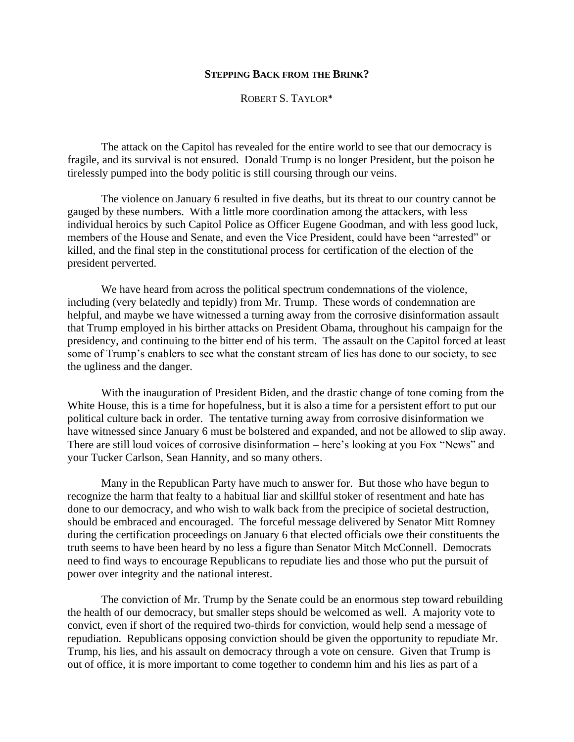## **STEPPING BACK FROM THE BRINK?**

ROBERT S. TAYLOR\*

The attack on the Capitol has revealed for the entire world to see that our democracy is fragile, and its survival is not ensured. Donald Trump is no longer President, but the poison he tirelessly pumped into the body politic is still coursing through our veins.

The violence on January 6 resulted in five deaths, but its threat to our country cannot be gauged by these numbers. With a little more coordination among the attackers, with less individual heroics by such Capitol Police as Officer Eugene Goodman, and with less good luck, members of the House and Senate, and even the Vice President, could have been "arrested" or killed, and the final step in the constitutional process for certification of the election of the president perverted.

We have heard from across the political spectrum condemnations of the violence, including (very belatedly and tepidly) from Mr. Trump. These words of condemnation are helpful, and maybe we have witnessed a turning away from the corrosive disinformation assault that Trump employed in his birther attacks on President Obama, throughout his campaign for the presidency, and continuing to the bitter end of his term. The assault on the Capitol forced at least some of Trump's enablers to see what the constant stream of lies has done to our society, to see the ugliness and the danger.

With the inauguration of President Biden, and the drastic change of tone coming from the White House, this is a time for hopefulness, but it is also a time for a persistent effort to put our political culture back in order. The tentative turning away from corrosive disinformation we have witnessed since January 6 must be bolstered and expanded, and not be allowed to slip away. There are still loud voices of corrosive disinformation – here's looking at you Fox "News" and your Tucker Carlson, Sean Hannity, and so many others.

Many in the Republican Party have much to answer for. But those who have begun to recognize the harm that fealty to a habitual liar and skillful stoker of resentment and hate has done to our democracy, and who wish to walk back from the precipice of societal destruction, should be embraced and encouraged. The forceful message delivered by Senator Mitt Romney during the certification proceedings on January 6 that elected officials owe their constituents the truth seems to have been heard by no less a figure than Senator Mitch McConnell. Democrats need to find ways to encourage Republicans to repudiate lies and those who put the pursuit of power over integrity and the national interest.

The conviction of Mr. Trump by the Senate could be an enormous step toward rebuilding the health of our democracy, but smaller steps should be welcomed as well. A majority vote to convict, even if short of the required two-thirds for conviction, would help send a message of repudiation. Republicans opposing conviction should be given the opportunity to repudiate Mr. Trump, his lies, and his assault on democracy through a vote on censure. Given that Trump is out of office, it is more important to come together to condemn him and his lies as part of a